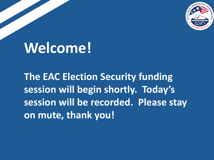

# **Welcome!**

**Questions? The EAC Election Security funding session will begin shortly. Today's session will be recorded. Please stay on mute, thank you!**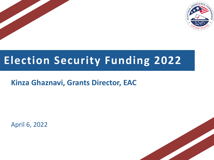

### **Election Security Funding 2022**

#### **Kinza Ghaznavi, Grants Director, EAC**

April 6, 2022

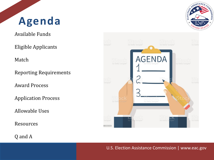# **Agenda**

Available Funds

Eligible Applicants

Match

Reporting Requirements

Award Process

Application Process

Allowable Uses

Resources



U.S. Election Assistance Commission | www.eac.gov

Q and A

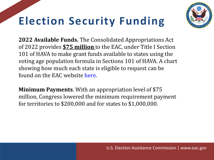## **Election Security Funding**



**2022 Available Funds.** The Consolidated Appropriations Act of 2022 provides **\$75 million** to the EAC, under Title I Section 101 of HAVA to make grant funds available to states using the voting age population formula in Sections 101 of HAVA. A chart showing how much each state is eligible to request can be found on the EAC website here.

**Minimum Payments**. With an appropriation level of \$75 million, Congress lowered the minimum requirement payment for territories to \$200,000 and for states to \$1,000,000.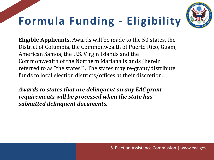# **Formula Funding - Eligibility**



**Eligible Applicants.** Awards will be made to the 50 states, the District of Columbia, the Commonwealth of Puerto Rico, Guam, American Samoa, the U.S. Virgin Islands and the Commonwealth of the Northern Mariana Islands (herein referred to as "the states"). The states may re-grant/distribute funds to local election districts/offices at their discretion*.* 

*Awards to states that are delinquent on any EAC grant requirements will be processed when the state has submitted delinquent documents.*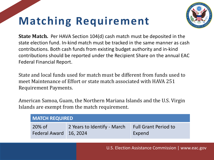## **Matching Requirement**



**State Match.** Per HAVA Section 104(d) cash match must be deposited in the state election fund. In-kind match must be tracked in the same manner as cash contributions. Both cash funds from existing budget authority and in-kind contributions should be reported under the Recipient Share on the annual EAC Federal Financial Report.

State and local funds used for match must be different from funds used to meet Maintenance of Effort or state match associated with HAVA 251 Requirement Payments.

American Samoa, Guam, the Northern Mariana Islands and the U.S. Virgin Islands are exempt from the match requirement.

| <b>MATCH REQUIRED</b>               |                             |                                       |  |
|-------------------------------------|-----------------------------|---------------------------------------|--|
| $20\%$ of<br>Federal Award 16, 2024 | 2 Years to Identify - March | <b>Full Grant Period to</b><br>Expend |  |

U.S. Election Assistance Commission | www.eac.gov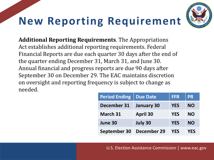## **New Reporting Requirement**



**Additional Reporting Requirements**. The Appropriations Act establishes additional reporting requirements. Federal Financial Reports are due each quarter 30 days after the end of the quarter ending December 31, March 31, and June 30. Annual financial and progress reports are due 90 days after September 30 on December 29. The EAC maintains discretion on oversight and reporting frequency is subject to change as needed.

| <b>Period Ending</b> | <b>Due Date</b>    | <b>FFR</b> | <b>PR</b>  |
|----------------------|--------------------|------------|------------|
| December 31          | <b>January 30</b>  | <b>YES</b> | <b>NO</b>  |
| <b>March 31</b>      | <b>April 30</b>    | <b>YES</b> | <b>NO</b>  |
| June 30              | July 30            | <b>YES</b> | <b>NO</b>  |
| <b>September 30</b>  | <b>December 29</b> | <b>YES</b> | <b>YES</b> |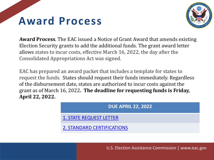### **Award Process**



**Award Process**. The EAC issued a Notice of Grant Award that amends existing Election Security grants to add the additional funds. The grant award letter allows states to incur costs, effective March 16, 2022, the day after the Consolidated Appropriations Act was signed.

EAC has prepared an award packet that includes a template for states to request the funds. States should request their funds immediately. Regardless of the disbursement date, states are authorized to incur costs against the grant as of March 16, 2022**. The deadline for requesting funds is Friday, April 22, 2022.**

| <b>DUE APRIL 22, 2022</b>      |
|--------------------------------|
| <b>1. STATE REQUEST LETTER</b> |
| 2. STANDARD CERTIFICATIONS     |

U.S. Election Assistance Commission | www.eac.gov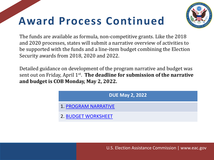## **Award Process Continued**



The funds are available as formula, non-competitive grants. Like the 2018 and 2020 processes, states will submit a narrative overview of activities to be supported with the funds and a line-item budget combining the Election Security awards from 2018, 2020 and 2022.

Detailed guidance on development of the program narrative and budget was sent out on Friday, April 1st. **The deadline for submission of the narrative and budget is COB Monday, May 2, 2022.**

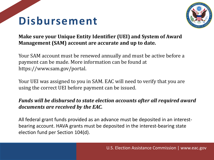### **Disbursement**



#### **Make sure your Unique Entity Identifier (UEI) and System of Award Management (SAM) account are accurate and up to date.**

Your SAM account must be renewed annually and must be active before a payment can be made. More information can be found at https://www.sam.gov/portal.

Your UEI was assigned to you in SAM. EAC will need to verify that you are using the correct UEI before payment can be issued.

#### *Funds will be disbursed to state election accounts after all required award documents are received by the EAC.*

All federal grant funds provided as an advance must be deposited in an interestbearing account. HAVA grants must be deposited in the interest-bearing state election fund per Section 104(d).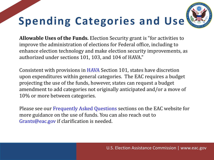# **Spending Categories and Use**



**Allowable Uses of the Funds.** Election Security grant is "for activities to improve the administration of elections for Federal office, including to enhance election technology and make election security improvements, as authorized under sections 101, 103, and 104 of HAVA."

Consistent with provisions in HAVA Section 101, states have discretion upon expenditures within general categories. The EAC requires a budget projecting the use of the funds, however, states can request a budget amendment to add categories not originally anticipated and/or a move of 10% or more between categories.

Please see our Frequently Asked Questions sections on the EAC website for more guidance on the use of funds. You can also reach out to Grants@eac.gov if clarification is needed.